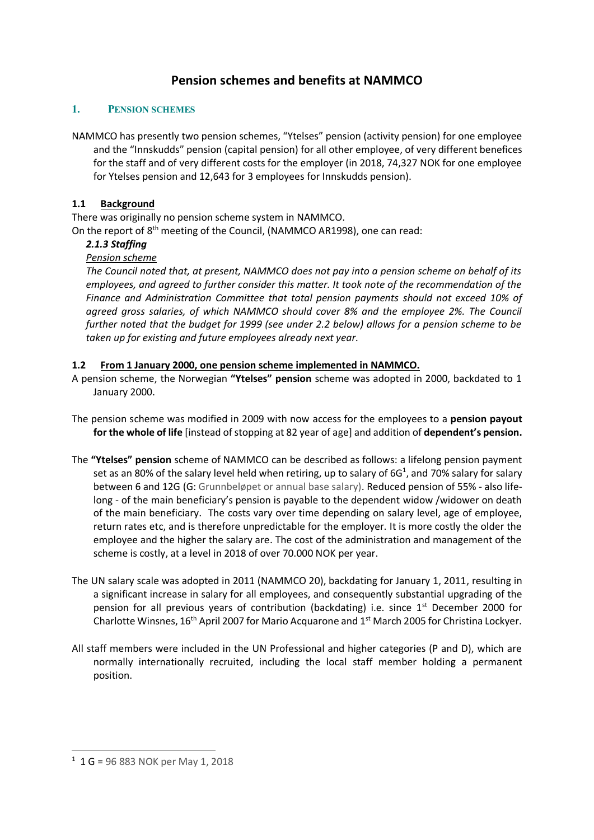# **Pension schemes and benefits at NAMMCO**

#### **1. PENSION SCHEMES**

NAMMCO has presently two pension schemes, "Ytelses" pension (activity pension) for one employee and the "Innskudds" pension (capital pension) for all other employee, of very different benefices for the staff and of very different costs for the employer (in 2018, 74,327 NOK for one employee for Ytelses pension and 12,643 for 3 employees for Innskudds pension).

#### **1.1 Background**

There was originally no pension scheme system in NAMMCO. On the report of 8<sup>th</sup> meeting of the Council, (NAMMCO AR1998), one can read:

## *2.1.3 Staffing*

### *Pension scheme*

*The Council noted that, at present, NAMMCO does not pay into a pension scheme on behalf of its employees, and agreed to further consider this matter. It took note of the recommendation of the Finance and Administration Committee that total pension payments should not exceed 10% of agreed gross salaries, of which NAMMCO should cover 8% and the employee 2%. The Council further noted that the budget for 1999 (see under 2.2 below) allows for a pension scheme to be taken up for existing and future employees already next year.* 

#### **1.2 From 1 January 2000, one pension scheme implemented in NAMMCO.**

- A pension scheme, the Norwegian **"Ytelses" pension** scheme was adopted in 2000, backdated to 1 January 2000.
- The pension scheme was modified in 2009 with now access for the employees to a **pension payout for the whole of life** [instead of stopping at 82 year of age] and addition of **dependent's pension.**
- The **"Ytelses" pension** scheme of NAMMCO can be described as follows: a lifelong pension payment set as an 80% of the salary level held when retiring, up to salary of 6G<sup>1</sup>, and 70% salary for salary between 6 and 12G (G: Grunnbeløpet or annual base salary). Reduced pension of 55% - also lifelong - of the main beneficiary's pension is payable to the dependent widow /widower on death of the main beneficiary. The costs vary over time depending on salary level, age of employee, return rates etc, and is therefore unpredictable for the employer. It is more costly the older the employee and the higher the salary are. The cost of the administration and management of the scheme is costly, at a level in 2018 of over 70.000 NOK per year.
- The UN salary scale was adopted in 2011 (NAMMCO 20), backdating for January 1, 2011, resulting in a significant increase in salary for all employees, and consequently substantial upgrading of the pension for all previous years of contribution (backdating) i.e. since  $1<sup>st</sup>$  December 2000 for Charlotte Winsnes,  $16^{th}$  April 2007 for Mario Acquarone and  $1<sup>st</sup>$  March 2005 for Christina Lockyer.
- All staff members were included in the UN Professional and higher categories (P and D), which are normally internationally recruited, including the local staff member holding a permanent position.

-

<sup>&</sup>lt;sup>1</sup> 1 G = 96 883 NOK per May 1, 2018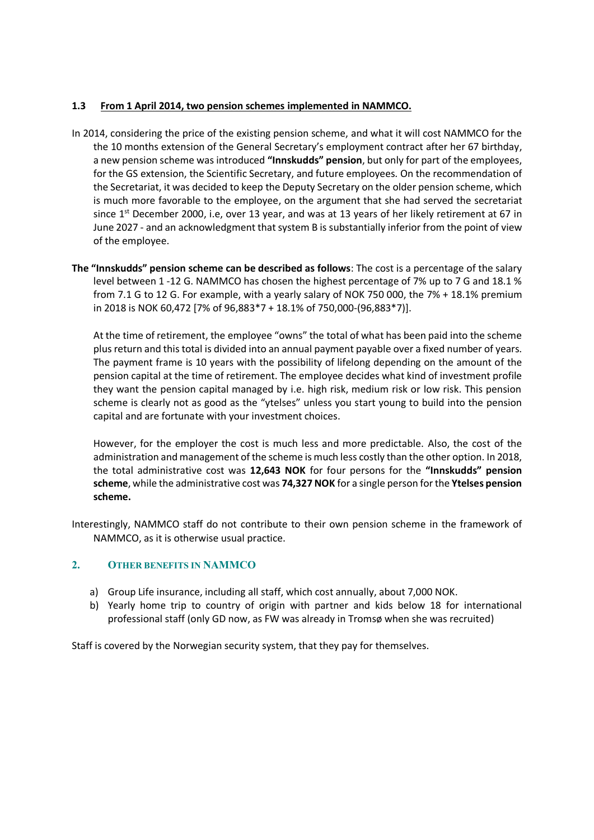#### **1.3 From 1 April 2014, two pension schemes implemented in NAMMCO.**

- In 2014, considering the price of the existing pension scheme, and what it will cost NAMMCO for the the 10 months extension of the General Secretary's employment contract after her 67 birthday, a new pension scheme was introduced **"Innskudds" pension**, but only for part of the employees, for the GS extension, the Scientific Secretary, and future employees. On the recommendation of the Secretariat, it was decided to keep the Deputy Secretary on the older pension scheme, which is much more favorable to the employee, on the argument that she had served the secretariat since 1<sup>st</sup> December 2000, i.e, over 13 year, and was at 13 years of her likely retirement at 67 in June 2027 - and an acknowledgment that system B is substantially inferior from the point of view of the employee.
- **The "Innskudds" pension scheme can be described as follows**: The cost is a percentage of the salary level between 1 -12 G. NAMMCO has chosen the highest percentage of 7% up to 7 G and 18.1 % from 7.1 G to 12 G. For example, with a yearly salary of NOK 750 000, the 7% + 18.1% premium in 2018 is NOK 60,472 [7% of 96,883\*7 + 18.1% of 750,000-(96,883\*7)].

At the time of retirement, the employee "owns" the total of what has been paid into the scheme plus return and this total is divided into an annual payment payable over a fixed number of years. The payment frame is 10 years with the possibility of lifelong depending on the amount of the pension capital at the time of retirement. The employee decides what kind of investment profile they want the pension capital managed by i.e. high risk, medium risk or low risk. This pension scheme is clearly not as good as the "ytelses" unless you start young to build into the pension capital and are fortunate with your investment choices.

However, for the employer the cost is much less and more predictable. Also, the cost of the administration and management of the scheme is much less costly than the other option. In 2018, the total administrative cost was **12,643 NOK** for four persons for the **"Innskudds" pension scheme**, while the administrative cost was **74,327 NOK** for a single person for the **Ytelses pension scheme.**

Interestingly, NAMMCO staff do not contribute to their own pension scheme in the framework of NAMMCO, as it is otherwise usual practice.

#### **2. OTHER BENEFITS IN NAMMCO**

- a) Group Life insurance, including all staff, which cost annually, about 7,000 NOK.
- b) Yearly home trip to country of origin with partner and kids below 18 for international professional staff (only GD now, as FW was already in Tromsø when she was recruited)

Staff is covered by the Norwegian security system, that they pay for themselves.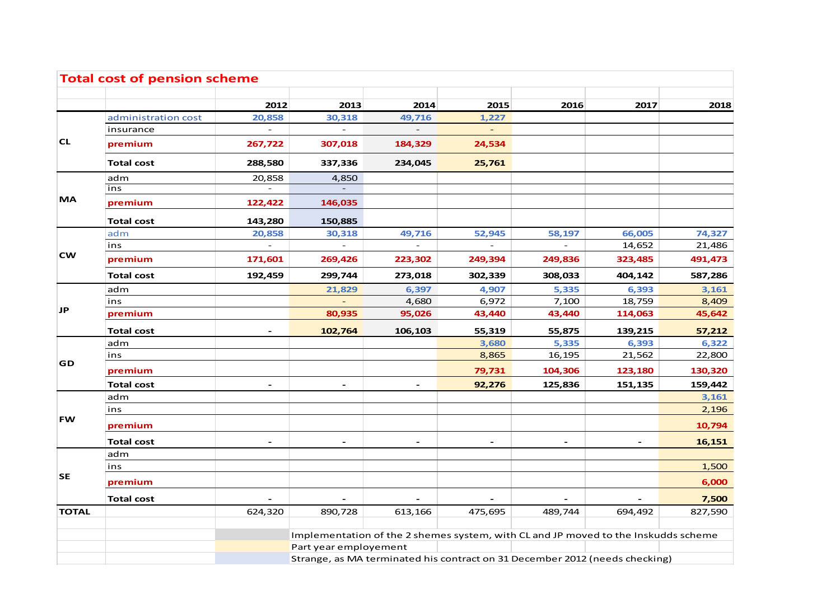| <b>Total cost of pension scheme</b> |                     |              |                                                                                    |              |                          |                          |                          |         |  |  |
|-------------------------------------|---------------------|--------------|------------------------------------------------------------------------------------|--------------|--------------------------|--------------------------|--------------------------|---------|--|--|
|                                     |                     | 2012         | 2013                                                                               | 2014         | 2015                     | 2016                     | 2017                     | 2018    |  |  |
|                                     | administration cost | 20,858       | 30,318                                                                             | 49,716       | 1,227                    |                          |                          |         |  |  |
|                                     | insurance           |              |                                                                                    |              |                          |                          |                          |         |  |  |
| <b>CL</b>                           | premium             | 267,722      | 307,018                                                                            | 184,329      | 24,534                   |                          |                          |         |  |  |
|                                     | <b>Total cost</b>   | 288,580      | 337,336                                                                            | 234,045      | 25,761                   |                          |                          |         |  |  |
| <b>MA</b>                           | adm                 | 20,858       | 4,850                                                                              |              |                          |                          |                          |         |  |  |
|                                     | ins                 | $\sim$       |                                                                                    |              |                          |                          |                          |         |  |  |
|                                     | premium             | 122,422      | 146,035                                                                            |              |                          |                          |                          |         |  |  |
|                                     | <b>Total cost</b>   | 143,280      | 150,885                                                                            |              |                          |                          |                          |         |  |  |
|                                     | adm                 | 20,858       | 30,318                                                                             | 49,716       | 52,945                   | 58,197                   | 66,005                   | 74,327  |  |  |
|                                     | ins                 | $\mathbf{r}$ | $\mathbf{r}$                                                                       | $\mathbf{r}$ | $\mathbf{r}$             | $\overline{a}$           | 14,652                   | 21,486  |  |  |
| <b>CW</b>                           | premium             | 171,601      | 269,426                                                                            | 223,302      | 249,394                  | 249,836                  | 323,485                  | 491,473 |  |  |
|                                     | <b>Total cost</b>   | 192,459      | 299,744                                                                            | 273,018      | 302,339                  | 308,033                  | 404,142                  | 587,286 |  |  |
|                                     | adm                 |              | 21,829                                                                             | 6,397        | 4,907                    | 5,335                    | 6,393                    | 3,161   |  |  |
| JP                                  | ins                 |              |                                                                                    | 4,680        | 6,972                    | 7,100                    | 18,759                   | 8,409   |  |  |
|                                     | premium             |              | 80,935                                                                             | 95,026       | 43,440                   | 43,440                   | 114,063                  | 45,642  |  |  |
|                                     | <b>Total cost</b>   |              | 102,764                                                                            | 106,103      | 55,319                   | 55,875                   | 139,215                  | 57,212  |  |  |
| GD                                  | adm                 |              |                                                                                    |              | 3,680                    | 5,335                    | 6,393                    | 6,322   |  |  |
|                                     | ins                 |              |                                                                                    |              | 8,865                    | 16,195                   | 21,562                   | 22,800  |  |  |
|                                     | premium             |              |                                                                                    |              | 79,731                   | 104,306                  | 123,180                  | 130,320 |  |  |
|                                     | <b>Total cost</b>   |              |                                                                                    |              | 92,276                   | 125,836                  | 151,135                  | 159,442 |  |  |
| <b>FW</b>                           | adm                 |              |                                                                                    |              |                          |                          |                          | 3,161   |  |  |
|                                     | ins                 |              |                                                                                    |              |                          |                          |                          | 2,196   |  |  |
|                                     | premium             |              |                                                                                    |              |                          |                          |                          | 10,794  |  |  |
|                                     | <b>Total cost</b>   |              | $\overline{\phantom{a}}$                                                           |              | $\overline{\phantom{a}}$ | $\overline{\phantom{a}}$ | $\overline{\phantom{a}}$ | 16,151  |  |  |
| SE                                  | adm                 |              |                                                                                    |              |                          |                          |                          |         |  |  |
|                                     | ins                 |              |                                                                                    |              |                          |                          |                          | 1,500   |  |  |
|                                     | premium             |              |                                                                                    |              |                          |                          |                          | 6,000   |  |  |
|                                     | <b>Total cost</b>   |              |                                                                                    |              |                          |                          |                          | 7,500   |  |  |
| <b>TOTAL</b>                        |                     | 624,320      | 890,728                                                                            | 613,166      | 475,695                  | 489,744                  | 694,492                  | 827,590 |  |  |
|                                     |                     |              |                                                                                    |              |                          |                          |                          |         |  |  |
|                                     |                     |              | Implementation of the 2 shemes system, with CL and JP moved to the Inskudds scheme |              |                          |                          |                          |         |  |  |
|                                     |                     |              | Part year employement                                                              |              |                          |                          |                          |         |  |  |
|                                     |                     |              | Strange, as MA terminated his contract on 31 December 2012 (needs checking)        |              |                          |                          |                          |         |  |  |